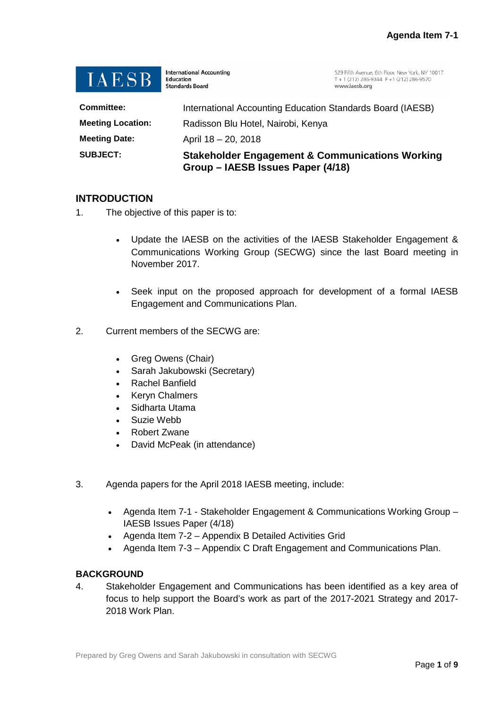

**International Accounting** Education **Standards Board** 

529 Fifth Avenue, 6th Floor, New York, NY 10017<br>T + 1 (212) 286-9344 F +1 (212) 286-9570 www.jaesb.org

| <b>SUBJECT:</b>          | <b>Stakeholder Engagement &amp; Communications Working</b><br>Group – IAESB Issues Paper (4/18) |  |
|--------------------------|-------------------------------------------------------------------------------------------------|--|
| <b>Meeting Date:</b>     | April 18 - 20, 2018                                                                             |  |
| <b>Meeting Location:</b> | Radisson Blu Hotel, Nairobi, Kenya                                                              |  |
| <b>Committee:</b>        | International Accounting Education Standards Board (IAESB)                                      |  |

# **INTRODUCTION**

- 1. The objective of this paper is to:
	- Update the IAESB on the activities of the IAESB Stakeholder Engagement & Communications Working Group (SECWG) since the last Board meeting in November 2017.
	- Seek input on the proposed approach for development of a formal IAESB Engagement and Communications Plan.
- 2. Current members of the SECWG are:
	- Greg Owens (Chair)
	- Sarah Jakubowski (Secretary)
	- Rachel Banfield
	- Keryn Chalmers
	- Sidharta Utama
	- Suzie Webb
	- Robert Zwane
	- David McPeak (in attendance)
- 3. Agenda papers for the April 2018 IAESB meeting, include:
	- Agenda Item 7-1 Stakeholder Engagement & Communications Working Group IAESB Issues Paper (4/18)
	- Agenda Item 7-2 Appendix B Detailed Activities Grid
	- Agenda Item 7-3 Appendix C Draft Engagement and Communications Plan.

## **BACKGROUND**

4. Stakeholder Engagement and Communications has been identified as a key area of focus to help support the Board's work as part of the 2017-2021 Strategy and 2017- 2018 Work Plan.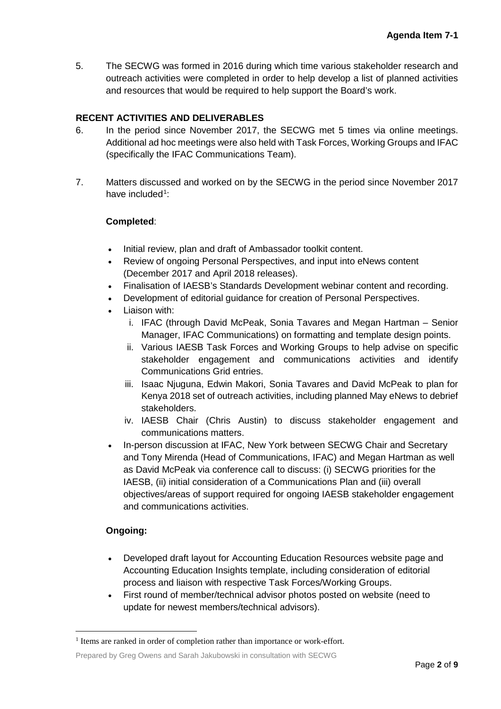5. The SECWG was formed in 2016 during which time various stakeholder research and outreach activities were completed in order to help develop a list of planned activities and resources that would be required to help support the Board's work.

## **RECENT ACTIVITIES AND DELIVERABLES**

- 6. In the period since November 2017, the SECWG met 5 times via online meetings. Additional ad hoc meetings were also held with Task Forces, Working Groups and IFAC (specifically the IFAC Communications Team).
- 7. Matters discussed and worked on by the SECWG in the period since November 2017 have included<sup>[1](#page-1-0)</sup>:

## **Completed**:

- Initial review, plan and draft of Ambassador toolkit content.
- Review of ongoing Personal Perspectives, and input into eNews content (December 2017 and April 2018 releases).
- Finalisation of IAESB's Standards Development webinar content and recording.
- Development of editorial guidance for creation of Personal Perspectives.
- Liaison with:
	- i. IFAC (through David McPeak, Sonia Tavares and Megan Hartman Senior Manager, IFAC Communications) on formatting and template design points.
	- ii. Various IAESB Task Forces and Working Groups to help advise on specific stakeholder engagement and communications activities and identify Communications Grid entries.
	- iii. Isaac Njuguna, Edwin Makori, Sonia Tavares and David McPeak to plan for Kenya 2018 set of outreach activities, including planned May eNews to debrief stakeholders.
	- iv. IAESB Chair (Chris Austin) to discuss stakeholder engagement and communications matters.
- In-person discussion at IFAC, New York between SECWG Chair and Secretary and Tony Mirenda (Head of Communications, IFAC) and Megan Hartman as well as David McPeak via conference call to discuss: (i) SECWG priorities for the IAESB, (ii) initial consideration of a Communications Plan and (iii) overall objectives/areas of support required for ongoing IAESB stakeholder engagement and communications activities.

# **Ongoing:**

- Developed draft layout for Accounting Education Resources website page and Accounting Education Insights template, including consideration of editorial process and liaison with respective Task Forces/Working Groups.
- First round of member/technical advisor photos posted on website (need to update for newest members/technical advisors).

<span id="page-1-0"></span><sup>&</sup>lt;sup>1</sup> Items are ranked in order of completion rather than importance or work-effort.

Prepared by Greg Owens and Sarah Jakubowski in consultation with SECWG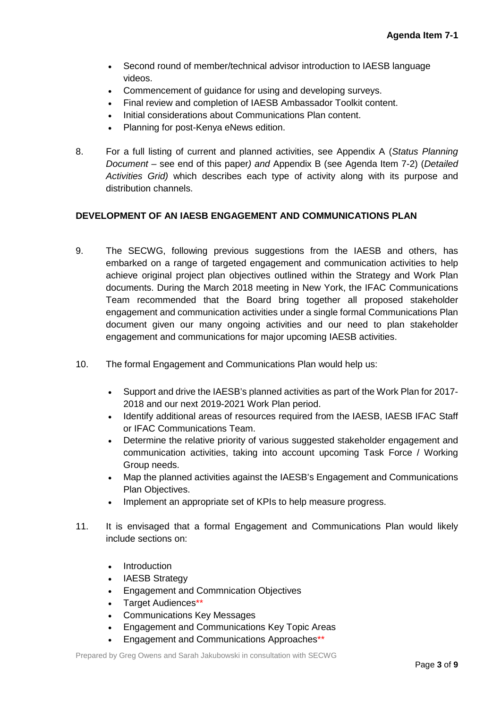- Second round of member/technical advisor introduction to IAESB language videos.
- Commencement of guidance for using and developing surveys.
- Final review and completion of IAESB Ambassador Toolkit content.
- Initial considerations about Communications Plan content.
- Planning for post-Kenya eNews edition.
- 8. For a full listing of current and planned activities, see Appendix A (*Status Planning Document –* see end of this paper*) and* Appendix B (see Agenda Item 7-2) (*Detailed Activities Grid)* which describes each type of activity along with its purpose and distribution channels.

## **DEVELOPMENT OF AN IAESB ENGAGEMENT AND COMMUNICATIONS PLAN**

- 9. The SECWG, following previous suggestions from the IAESB and others, has embarked on a range of targeted engagement and communication activities to help achieve original project plan objectives outlined within the Strategy and Work Plan documents. During the March 2018 meeting in New York, the IFAC Communications Team recommended that the Board bring together all proposed stakeholder engagement and communication activities under a single formal Communications Plan document given our many ongoing activities and our need to plan stakeholder engagement and communications for major upcoming IAESB activities.
- 10. The formal Engagement and Communications Plan would help us:
	- Support and drive the IAESB's planned activities as part of the Work Plan for 2017- 2018 and our next 2019-2021 Work Plan period.
	- Identify additional areas of resources required from the IAESB, IAESB IFAC Staff or IFAC Communications Team.
	- Determine the relative priority of various suggested stakeholder engagement and communication activities, taking into account upcoming Task Force / Working Group needs.
	- Map the planned activities against the IAESB's Engagement and Communications Plan Objectives.
	- Implement an appropriate set of KPIs to help measure progress.
- 11. It is envisaged that a formal Engagement and Communications Plan would likely include sections on:
	- Introduction
	- IAESB Strategy
	- Engagement and Commnication Objectives
	- Target Audiences\*\*
	- Communications Key Messages
	- Engagement and Communications Key Topic Areas
	- Engagement and Communications Approaches\*\*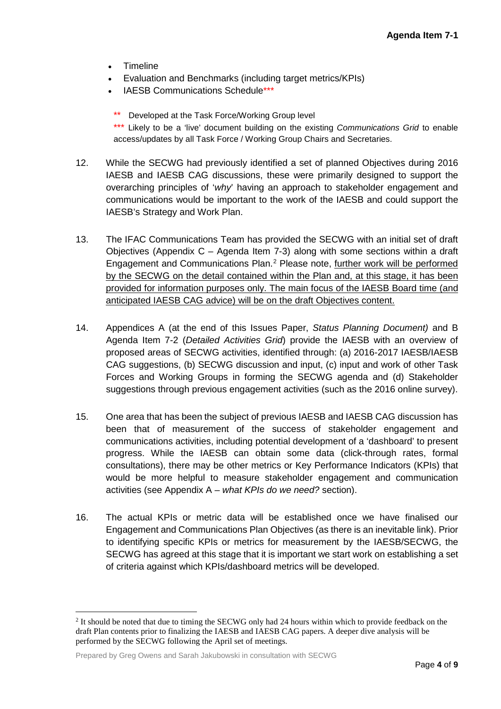- Timeline
- Evaluation and Benchmarks (including target metrics/KPIs)
- IAESB Communications Schedule\*\*\*
	- \*\* Developed at the Task Force/Working Group level

\*\*\* Likely to be a 'live' document building on the existing *Communications Grid* to enable access/updates by all Task Force / Working Group Chairs and Secretaries.

- 12. While the SECWG had previously identified a set of planned Objectives during 2016 IAESB and IAESB CAG discussions, these were primarily designed to support the overarching principles of '*why*' having an approach to stakeholder engagement and communications would be important to the work of the IAESB and could support the IAESB's Strategy and Work Plan.
- 13. The IFAC Communications Team has provided the SECWG with an initial set of draft Objectives (Appendix C – Agenda Item 7-3) along with some sections within a draft Engagement and Communications Plan.[2](#page-3-0) Please note, further work will be performed by the SECWG on the detail contained within the Plan and, at this stage, it has been provided for information purposes only. The main focus of the IAESB Board time (and anticipated IAESB CAG advice) will be on the draft Objectives content.
- 14. Appendices A (at the end of this Issues Paper, *Status Planning Document)* and B Agenda Item 7-2 (*Detailed Activities Grid*) provide the IAESB with an overview of proposed areas of SECWG activities, identified through: (a) 2016-2017 IAESB/IAESB CAG suggestions, (b) SECWG discussion and input, (c) input and work of other Task Forces and Working Groups in forming the SECWG agenda and (d) Stakeholder suggestions through previous engagement activities (such as the 2016 online survey).
- 15. One area that has been the subject of previous IAESB and IAESB CAG discussion has been that of measurement of the success of stakeholder engagement and communications activities, including potential development of a 'dashboard' to present progress. While the IAESB can obtain some data (click-through rates, formal consultations), there may be other metrics or Key Performance Indicators (KPIs) that would be more helpful to measure stakeholder engagement and communication activities (see Appendix A – *what KPIs do we need?* section).
- 16. The actual KPIs or metric data will be established once we have finalised our Engagement and Communications Plan Objectives (as there is an inevitable link). Prior to identifying specific KPIs or metrics for measurement by the IAESB/SECWG, the SECWG has agreed at this stage that it is important we start work on establishing a set of criteria against which KPIs/dashboard metrics will be developed.

<span id="page-3-0"></span><sup>&</sup>lt;sup>2</sup> It should be noted that due to timing the SECWG only had 24 hours within which to provide feedback on the draft Plan contents prior to finalizing the IAESB and IAESB CAG papers. A deeper dive analysis will be performed by the SECWG following the April set of meetings.

Prepared by Greg Owens and Sarah Jakubowski in consultation with SECWG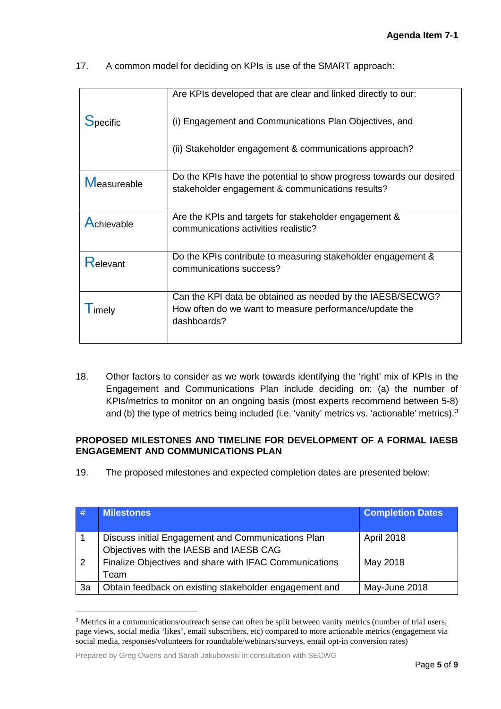17. A common model for deciding on KPIs is use of the SMART approach:

|                 | Are KPIs developed that are clear and linked directly to our:                                                                       |  |
|-----------------|-------------------------------------------------------------------------------------------------------------------------------------|--|
| <b>Specific</b> | (i) Engagement and Communications Plan Objectives, and                                                                              |  |
|                 | (ii) Stakeholder engagement & communications approach?                                                                              |  |
| Measureable     | Do the KPIs have the potential to show progress towards our desired<br>stakeholder engagement & communications results?             |  |
| Achievable      | Are the KPIs and targets for stakeholder engagement &<br>communications activities realistic?                                       |  |
| <b>Relevant</b> | Do the KPIs contribute to measuring stakeholder engagement &<br>communications success?                                             |  |
| imely           | Can the KPI data be obtained as needed by the IAESB/SECWG?<br>How often do we want to measure performance/update the<br>dashboards? |  |

18. Other factors to consider as we work towards identifying the 'right' mix of KPIs in the Engagement and Communications Plan include deciding on: (a) the number of KPIs/metrics to monitor on an ongoing basis (most experts recommend between 5-8) and (b) the type of metrics being included (i.e. 'vanity' metrics vs. 'actionable' metrics).<sup>[3](#page-4-0)</sup>

## **PROPOSED MILESTONES AND TIMELINE FOR DEVELOPMENT OF A FORMAL IAESB ENGAGEMENT AND COMMUNICATIONS PLAN**

19. The proposed milestones and expected completion dates are presented below:

| #          | <b>Milestones</b>                                                                             | <b>Completion Dates</b> |
|------------|-----------------------------------------------------------------------------------------------|-------------------------|
|            | Discuss initial Engagement and Communications Plan<br>Objectives with the IAESB and IAESB CAG | April 2018              |
| $\sqrt{2}$ | Finalize Objectives and share with IFAC Communications                                        | May 2018                |
|            | Team                                                                                          |                         |
| 3a         | Obtain feedback on existing stakeholder engagement and                                        | May-June 2018           |

<span id="page-4-0"></span> <sup>3</sup> Metrics in a communications/outreach sense can often be split between vanity metrics (number of trial users, page views, social media 'likes', email subscribers, etc) compared to more actionable metrics (engagement via social media, responses/volunteers for roundtable/webinars/surveys, email opt-in conversion rates)

Prepared by Greg Owens and Sarah Jakubowski in consultation with SECWG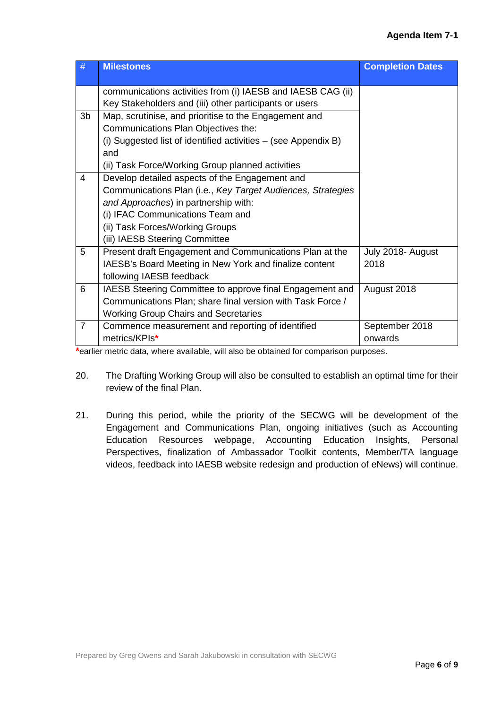|                | <b>Milestones</b>                                              | <b>Completion Dates</b> |
|----------------|----------------------------------------------------------------|-------------------------|
|                | communications activities from (i) IAESB and IAESB CAG (ii)    |                         |
|                | Key Stakeholders and (iii) other participants or users         |                         |
| 3 <sub>b</sub> | Map, scrutinise, and prioritise to the Engagement and          |                         |
|                | Communications Plan Objectives the:                            |                         |
|                | (i) Suggested list of identified activities - (see Appendix B) |                         |
|                | and                                                            |                         |
|                | (ii) Task Force/Working Group planned activities               |                         |
| $\overline{4}$ | Develop detailed aspects of the Engagement and                 |                         |
|                | Communications Plan (i.e., Key Target Audiences, Strategies    |                         |
|                | and Approaches) in partnership with:                           |                         |
|                | (i) IFAC Communications Team and                               |                         |
|                | (ii) Task Forces/Working Groups                                |                         |
|                | (iii) IAESB Steering Committee                                 |                         |
| 5              | Present draft Engagement and Communications Plan at the        | July 2018- August       |
|                | IAESB's Board Meeting in New York and finalize content         | 2018                    |
|                | following IAESB feedback                                       |                         |
| 6              | IAESB Steering Committee to approve final Engagement and       | August 2018             |
|                | Communications Plan; share final version with Task Force /     |                         |
|                | <b>Working Group Chairs and Secretaries</b>                    |                         |
| $\overline{7}$ | Commence measurement and reporting of identified               | September 2018          |
|                | metrics/KPIs*                                                  | onwards                 |

**\***earlier metric data, where available, will also be obtained for comparison purposes.

- 20. The Drafting Working Group will also be consulted to establish an optimal time for their review of the final Plan.
- 21. During this period, while the priority of the SECWG will be development of the Engagement and Communications Plan, ongoing initiatives (such as Accounting Education Resources webpage, Accounting Education Insights, Personal Perspectives, finalization of Ambassador Toolkit contents, Member/TA language videos, feedback into IAESB website redesign and production of eNews) will continue.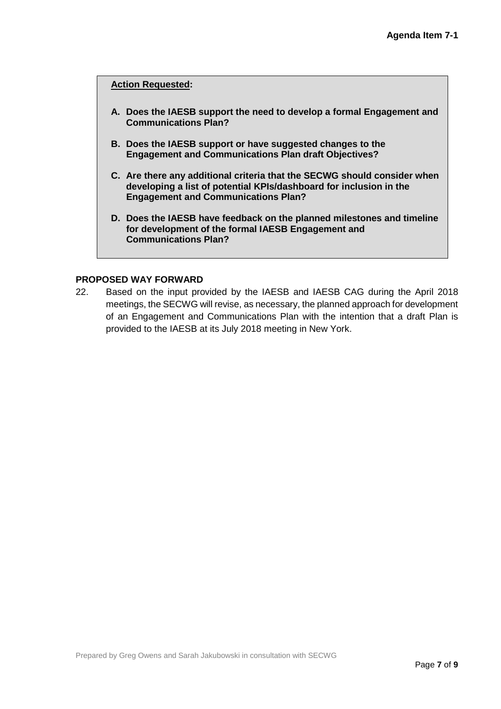#### **Action Requested:**

- **A. Does the IAESB support the need to develop a formal Engagement and Communications Plan?**
- **B. Does the IAESB support or have suggested changes to the Engagement and Communications Plan draft Objectives?**
- **C. Are there any additional criteria that the SECWG should consider when developing a list of potential KPIs/dashboard for inclusion in the Engagement and Communications Plan?**
- **D. Does the IAESB have feedback on the planned milestones and timeline for development of the formal IAESB Engagement and Communications Plan?**

#### **PROPOSED WAY FORWARD**

22. Based on the input provided by the IAESB and IAESB CAG during the April 2018 meetings, the SECWG will revise, as necessary, the planned approach for development of an Engagement and Communications Plan with the intention that a draft Plan is provided to the IAESB at its July 2018 meeting in New York.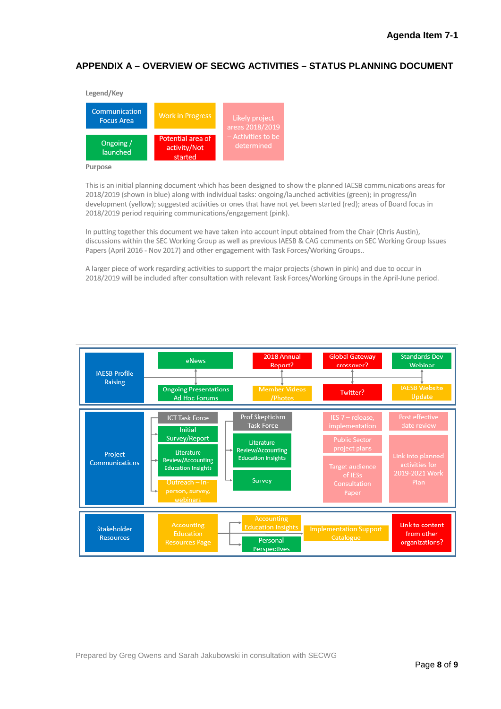# **APPENDIX A – OVERVIEW OF SECWG ACTIVITIES – STATUS PLANNING DOCUMENT**



#### Purpose

This is an initial planning document which has been designed to show the planned IAESB communications areas for 2018/2019 (shown in blue) along with individual tasks: ongoing/launched activities (green); in progress/in development (vellow); suggested activities or ones that have not vet been started (red); areas of Board focus in 2018/2019 period requiring communications/engagement (pink).

In putting together this document we have taken into account input obtained from the Chair (Chris Austin), discussions within the SEC Working Group as well as previous IAESB & CAG comments on SEC Working Group Issues Papers (April 2016 - Nov 2017) and other engagement with Task Forces/Working Groups..

A larger piece of work regarding activities to support the major projects (shown in pink) and due to occur in 2018/2019 will be included after consultation with relevant Task Forces/Working Groups in the April-June period.